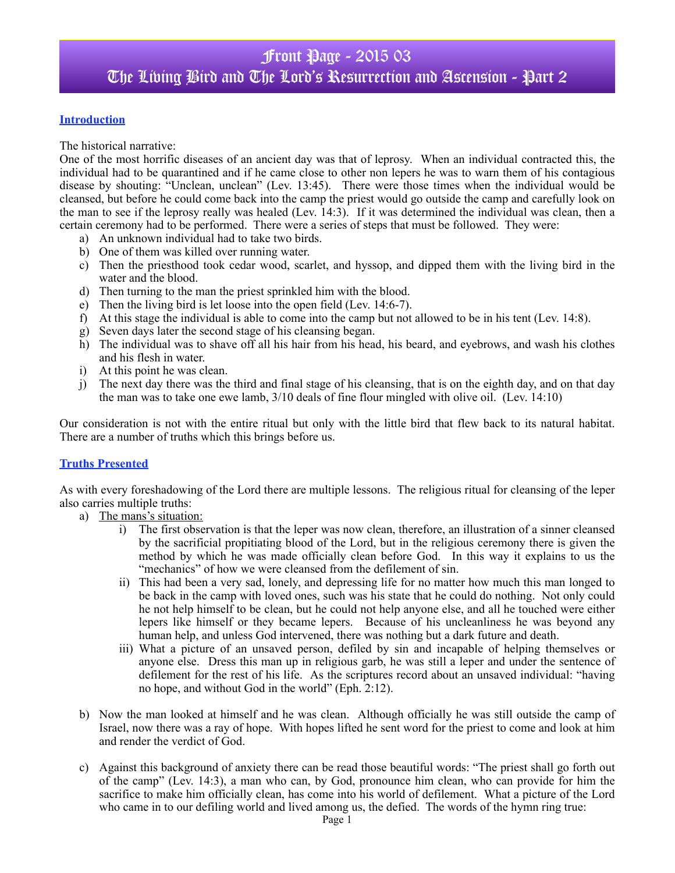### **Introduction**

The historical narrative:

One of the most horrific diseases of an ancient day was that of leprosy. When an individual contracted this, the individual had to be quarantined and if he came close to other non lepers he was to warn them of his contagious disease by shouting: "Unclean, unclean" (Lev. 13:45). There were those times when the individual would be cleansed, but before he could come back into the camp the priest would go outside the camp and carefully look on the man to see if the leprosy really was healed (Lev. 14:3). If it was determined the individual was clean, then a certain ceremony had to be performed. There were a series of steps that must be followed. They were:

- a) An unknown individual had to take two birds.
- b) One of them was killed over running water.
- c) Then the priesthood took cedar wood, scarlet, and hyssop, and dipped them with the living bird in the water and the blood.
- d) Then turning to the man the priest sprinkled him with the blood.
- e) Then the living bird is let loose into the open field (Lev. 14:6-7).
- f) At this stage the individual is able to come into the camp but not allowed to be in his tent (Lev. 14:8).
- g) Seven days later the second stage of his cleansing began.
- h) The individual was to shave off all his hair from his head, his beard, and eyebrows, and wash his clothes and his flesh in water.
- i) At this point he was clean.
- j) The next day there was the third and final stage of his cleansing, that is on the eighth day, and on that day the man was to take one ewe lamb, 3/10 deals of fine flour mingled with olive oil. (Lev. 14:10)

Our consideration is not with the entire ritual but only with the little bird that flew back to its natural habitat. There are a number of truths which this brings before us.

#### **Truths Presented**

As with every foreshadowing of the Lord there are multiple lessons. The religious ritual for cleansing of the leper also carries multiple truths:

- a) The mans's situation:
	- i) The first observation is that the leper was now clean, therefore, an illustration of a sinner cleansed by the sacrificial propitiating blood of the Lord, but in the religious ceremony there is given the method by which he was made officially clean before God. In this way it explains to us the "mechanics" of how we were cleansed from the defilement of sin.
	- ii) This had been a very sad, lonely, and depressing life for no matter how much this man longed to be back in the camp with loved ones, such was his state that he could do nothing. Not only could he not help himself to be clean, but he could not help anyone else, and all he touched were either lepers like himself or they became lepers. Because of his uncleanliness he was beyond any human help, and unless God intervened, there was nothing but a dark future and death.
	- iii) What a picture of an unsaved person, defiled by sin and incapable of helping themselves or anyone else. Dress this man up in religious garb, he was still a leper and under the sentence of defilement for the rest of his life. As the scriptures record about an unsaved individual: "having no hope, and without God in the world" (Eph. 2:12).
- b) Now the man looked at himself and he was clean. Although officially he was still outside the camp of Israel, now there was a ray of hope. With hopes lifted he sent word for the priest to come and look at him and render the verdict of God.
- c) Against this background of anxiety there can be read those beautiful words: "The priest shall go forth out of the camp" (Lev. 14:3), a man who can, by God, pronounce him clean, who can provide for him the sacrifice to make him officially clean, has come into his world of defilement. What a picture of the Lord who came in to our defiling world and lived among us, the defied. The words of the hymn ring true: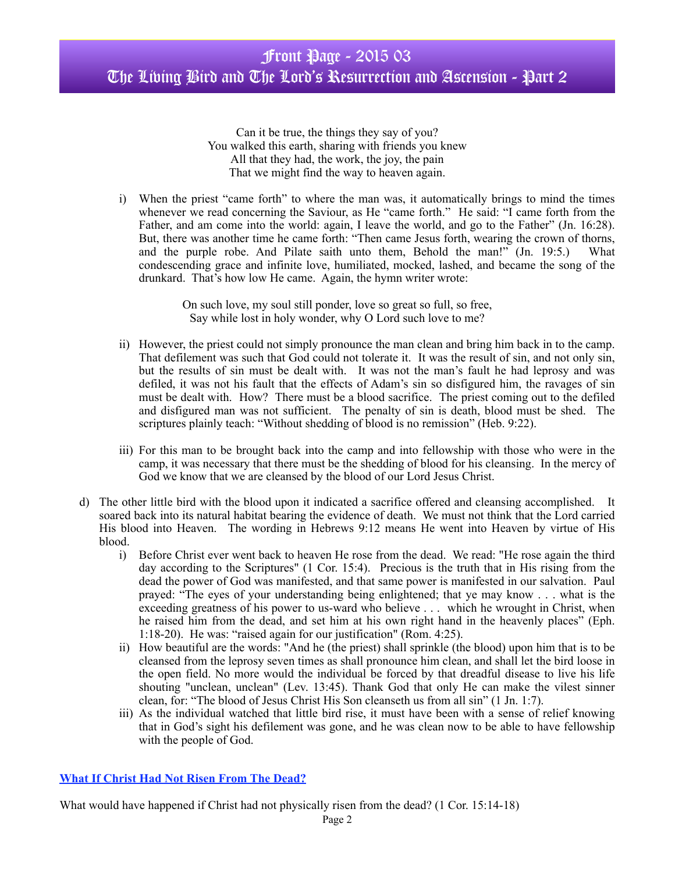Can it be true, the things they say of you? You walked this earth, sharing with friends you knew All that they had, the work, the joy, the pain That we might find the way to heaven again.

i) When the priest "came forth" to where the man was, it automatically brings to mind the times whenever we read concerning the Saviour, as He "came forth." He said: "I came forth from the Father, and am come into the world: again, I leave the world, and go to the Father" (Jn. 16:28). But, there was another time he came forth: "Then came Jesus forth, wearing the crown of thorns, and the purple robe. And Pilate saith unto them, Behold the man!"  $(In. 19:5.)$  What condescending grace and infinite love, humiliated, mocked, lashed, and became the song of the drunkard. That's how low He came. Again, the hymn writer wrote:

> On such love, my soul still ponder, love so great so full, so free, Say while lost in holy wonder, why O Lord such love to me?

- ii) However, the priest could not simply pronounce the man clean and bring him back in to the camp. That defilement was such that God could not tolerate it. It was the result of sin, and not only sin, but the results of sin must be dealt with. It was not the man's fault he had leprosy and was defiled, it was not his fault that the effects of Adam's sin so disfigured him, the ravages of sin must be dealt with. How? There must be a blood sacrifice. The priest coming out to the defiled and disfigured man was not sufficient. The penalty of sin is death, blood must be shed. The scriptures plainly teach: "Without shedding of blood is no remission" (Heb. 9:22).
- iii) For this man to be brought back into the camp and into fellowship with those who were in the camp, it was necessary that there must be the shedding of blood for his cleansing. In the mercy of God we know that we are cleansed by the blood of our Lord Jesus Christ.
- d) The other little bird with the blood upon it indicated a sacrifice offered and cleansing accomplished. It soared back into its natural habitat bearing the evidence of death. We must not think that the Lord carried His blood into Heaven. The wording in Hebrews 9:12 means He went into Heaven by virtue of His blood.
	- i) Before Christ ever went back to heaven He rose from the dead. We read: "He rose again the third day according to the Scriptures" (1 Cor. 15:4). Precious is the truth that in His rising from the dead the power of God was manifested, and that same power is manifested in our salvation. Paul prayed: "The eyes of your understanding being enlightened; that ye may know . . . what is the exceeding greatness of his power to us-ward who believe . . . which he wrought in Christ, when he raised him from the dead, and set him at his own right hand in the heavenly places" (Eph. 1:18-20). He was: "raised again for our justification" (Rom. 4:25).
	- ii) How beautiful are the words: "And he (the priest) shall sprinkle (the blood) upon him that is to be cleansed from the leprosy seven times as shall pronounce him clean, and shall let the bird loose in the open field. No more would the individual be forced by that dreadful disease to live his life shouting "unclean, unclean" (Lev. 13:45). Thank God that only He can make the vilest sinner clean, for: "The blood of Jesus Christ His Son cleanseth us from all sin" (1 Jn. 1:7).
	- iii) As the individual watched that little bird rise, it must have been with a sense of relief knowing that in God's sight his defilement was gone, and he was clean now to be able to have fellowship with the people of God.

## **What If Christ Had Not Risen From The Dead?**

What would have happened if Christ had not physically risen from the dead? (1 Cor. 15:14-18)